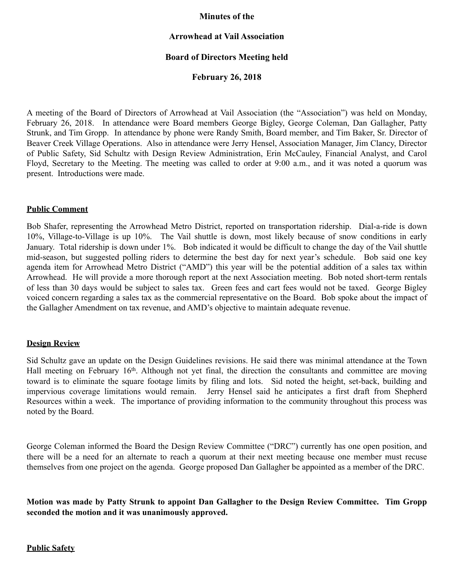## **Minutes of the**

## **Arrowhead at Vail Association**

# **Board of Directors Meeting held**

## **February 26, 2018**

A meeting of the Board of Directors of Arrowhead at Vail Association (the "Association") was held on Monday, February 26, 2018. In attendance were Board members George Bigley, George Coleman, Dan Gallagher, Patty Strunk, and Tim Gropp. In attendance by phone were Randy Smith, Board member, and Tim Baker, Sr. Director of Beaver Creek Village Operations. Also in attendance were Jerry Hensel, Association Manager, Jim Clancy, Director of Public Safety, Sid Schultz with Design Review Administration, Erin McCauley, Financial Analyst, and Carol Floyd, Secretary to the Meeting. The meeting was called to order at 9:00 a.m., and it was noted a quorum was present. Introductions were made.

### **Public Comment**

Bob Shafer, representing the Arrowhead Metro District, reported on transportation ridership. Dial-a-ride is down 10%, Village-to-Village is up 10%. The Vail shuttle is down, most likely because of snow conditions in early January. Total ridership is down under 1%. Bob indicated it would be difficult to change the day of the Vail shuttle mid-season, but suggested polling riders to determine the best day for next year's schedule. Bob said one key agenda item for Arrowhead Metro District ("AMD") this year will be the potential addition of a sales tax within Arrowhead. He will provide a more thorough report at the next Association meeting. Bob noted short-term rentals of less than 30 days would be subject to sales tax. Green fees and cart fees would not be taxed. George Bigley voiced concern regarding a sales tax as the commercial representative on the Board. Bob spoke about the impact of the Gallagher Amendment on tax revenue, and AMD's objective to maintain adequate revenue.

### **Design Review**

Sid Schultz gave an update on the Design Guidelines revisions. He said there was minimal attendance at the Town Hall meeting on February 16<sup>th</sup>. Although not yet final, the direction the consultants and committee are moving toward is to eliminate the square footage limits by filing and lots. Sid noted the height, set-back, building and impervious coverage limitations would remain. Jerry Hensel said he anticipates a first draft from Shepherd Resources within a week. The importance of providing information to the community throughout this process was noted by the Board.

George Coleman informed the Board the Design Review Committee ("DRC") currently has one open position, and there will be a need for an alternate to reach a quorum at their next meeting because one member must recuse themselves from one project on the agenda. George proposed Dan Gallagher be appointed as a member of the DRC.

**Motion was made by Patty Strunk to appoint Dan Gallagher to the Design Review Committee. Tim Gropp seconded the motion and it was unanimously approved.** 

**Public Safety**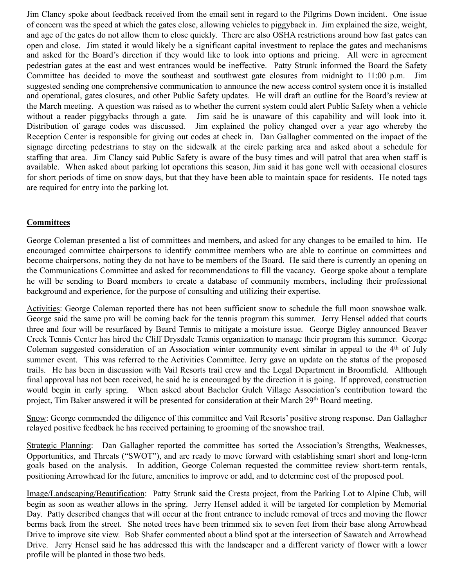Jim Clancy spoke about feedback received from the email sent in regard to the Pilgrims Down incident. One issue of concern was the speed at which the gates close, allowing vehicles to piggyback in. Jim explained the size, weight, and age of the gates do not allow them to close quickly. There are also OSHA restrictions around how fast gates can open and close. Jim stated it would likely be a significant capital investment to replace the gates and mechanisms and asked for the Board's direction if they would like to look into options and pricing. All were in agreement pedestrian gates at the east and west entrances would be ineffective. Patty Strunk informed the Board the Safety Committee has decided to move the southeast and southwest gate closures from midnight to 11:00 p.m. Jim suggested sending one comprehensive communication to announce the new access control system once it is installed and operational, gates closures, and other Public Safety updates. He will draft an outline for the Board's review at the March meeting. A question was raised as to whether the current system could alert Public Safety when a vehicle without a reader piggybacks through a gate. Jim said he is unaware of this capability and will look into it. Distribution of garage codes was discussed. Jim explained the policy changed over a year ago whereby the Reception Center is responsible for giving out codes at check in. Dan Gallagher commented on the impact of the signage directing pedestrians to stay on the sidewalk at the circle parking area and asked about a schedule for staffing that area. Jim Clancy said Public Safety is aware of the busy times and will patrol that area when staff is available. When asked about parking lot operations this season, Jim said it has gone well with occasional closures for short periods of time on snow days, but that they have been able to maintain space for residents. He noted tags are required for entry into the parking lot.

# **Committees**

George Coleman presented a list of committees and members, and asked for any changes to be emailed to him. He encouraged committee chairpersons to identify committee members who are able to continue on committees and become chairpersons, noting they do not have to be members of the Board. He said there is currently an opening on the Communications Committee and asked for recommendations to fill the vacancy. George spoke about a template he will be sending to Board members to create a database of community members, including their professional background and experience, for the purpose of consulting and utilizing their expertise.

Activities: George Coleman reported there has not been sufficient snow to schedule the full moon snowshoe walk. George said the same pro will be coming back for the tennis program this summer. Jerry Hensel added that courts three and four will be resurfaced by Beard Tennis to mitigate a moisture issue. George Bigley announced Beaver Creek Tennis Center has hired the Cliff Drysdale Tennis organization to manage their program this summer. George Coleman suggested consideration of an Association winter community event similar in appeal to the 4th of July summer event. This was referred to the Activities Committee. Jerry gave an update on the status of the proposed trails. He has been in discussion with Vail Resorts trail crew and the Legal Department in Broomfield. Although final approval has not been received, he said he is encouraged by the direction it is going. If approved, construction would begin in early spring. When asked about Bachelor Gulch Village Association's contribution toward the project, Tim Baker answered it will be presented for consideration at their March 29<sup>th</sup> Board meeting.

Snow: George commended the diligence of this committee and Vail Resorts' positive strong response. Dan Gallagher relayed positive feedback he has received pertaining to grooming of the snowshoe trail.

Strategic Planning: Dan Gallagher reported the committee has sorted the Association's Strengths, Weaknesses, Opportunities, and Threats ("SWOT"), and are ready to move forward with establishing smart short and long-term goals based on the analysis. In addition, George Coleman requested the committee review short-term rentals, positioning Arrowhead for the future, amenities to improve or add, and to determine cost of the proposed pool.

Image/Landscaping/Beautification: Patty Strunk said the Cresta project, from the Parking Lot to Alpine Club, will begin as soon as weather allows in the spring. Jerry Hensel added it will be targeted for completion by Memorial Day. Patty described changes that will occur at the front entrance to include removal of trees and moving the flower berms back from the street. She noted trees have been trimmed six to seven feet from their base along Arrowhead Drive to improve site view. Bob Shafer commented about a blind spot at the intersection of Sawatch and Arrowhead Drive. Jerry Hensel said he has addressed this with the landscaper and a different variety of flower with a lower profile will be planted in those two beds.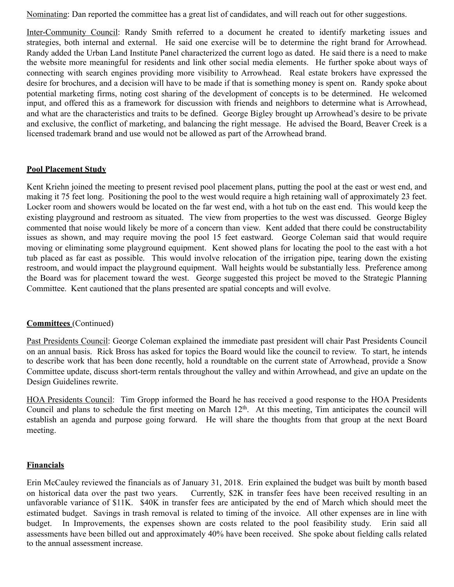Nominating: Dan reported the committee has a great list of candidates, and will reach out for other suggestions.

Inter-Community Council: Randy Smith referred to a document he created to identify marketing issues and strategies, both internal and external. He said one exercise will be to determine the right brand for Arrowhead. Randy added the Urban Land Institute Panel characterized the current logo as dated. He said there is a need to make the website more meaningful for residents and link other social media elements. He further spoke about ways of connecting with search engines providing more visibility to Arrowhead. Real estate brokers have expressed the desire for brochures, and a decision will have to be made if that is something money is spent on. Randy spoke about potential marketing firms, noting cost sharing of the development of concepts is to be determined. He welcomed input, and offered this as a framework for discussion with friends and neighbors to determine what is Arrowhead, and what are the characteristics and traits to be defined. George Bigley brought up Arrowhead's desire to be private and exclusive, the conflict of marketing, and balancing the right message. He advised the Board, Beaver Creek is a licensed trademark brand and use would not be allowed as part of the Arrowhead brand.

# **Pool Placement Study**

Kent Kriehn joined the meeting to present revised pool placement plans, putting the pool at the east or west end, and making it 75 feet long. Positioning the pool to the west would require a high retaining wall of approximately 23 feet. Locker room and showers would be located on the far west end, with a hot tub on the east end. This would keep the existing playground and restroom as situated. The view from properties to the west was discussed. George Bigley commented that noise would likely be more of a concern than view. Kent added that there could be constructability issues as shown, and may require moving the pool 15 feet eastward. George Coleman said that would require moving or eliminating some playground equipment. Kent showed plans for locating the pool to the east with a hot tub placed as far east as possible. This would involve relocation of the irrigation pipe, tearing down the existing restroom, and would impact the playground equipment. Wall heights would be substantially less. Preference among the Board was for placement toward the west. George suggested this project be moved to the Strategic Planning Committee. Kent cautioned that the plans presented are spatial concepts and will evolve.

# **Committees** (Continued)

Past Presidents Council: George Coleman explained the immediate past president will chair Past Presidents Council on an annual basis. Rick Bross has asked for topics the Board would like the council to review. To start, he intends to describe work that has been done recently, hold a roundtable on the current state of Arrowhead, provide a Snow Committee update, discuss short-term rentals throughout the valley and within Arrowhead, and give an update on the Design Guidelines rewrite.

HOA Presidents Council: Tim Gropp informed the Board he has received a good response to the HOA Presidents Council and plans to schedule the first meeting on March 12<sup>th</sup>. At this meeting, Tim anticipates the council will establish an agenda and purpose going forward. He will share the thoughts from that group at the next Board meeting.

# **Financials**

Erin McCauley reviewed the financials as of January 31, 2018. Erin explained the budget was built by month based on historical data over the past two years. Currently, \$2K in transfer fees have been received resulting in an unfavorable variance of \$11K. \$40K in transfer fees are anticipated by the end of March which should meet the estimated budget. Savings in trash removal is related to timing of the invoice. All other expenses are in line with budget. In Improvements, the expenses shown are costs related to the pool feasibility study. Erin said all assessments have been billed out and approximately 40% have been received. She spoke about fielding calls related to the annual assessment increase.